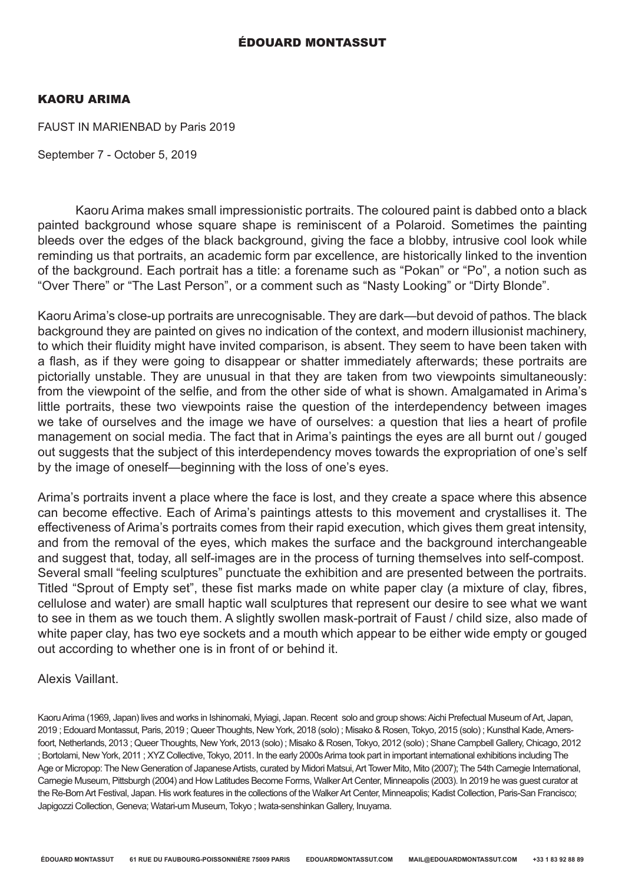# ÉDOUARD MONTASSUT

#### KAORU ARIMA

FAUST IN MARIENBAD by Paris 2019

September 7 - October 5, 2019

Kaoru Arima makes small impressionistic portraits. The coloured paint is dabbed onto a black painted background whose square shape is reminiscent of a Polaroid. Sometimes the painting bleeds over the edges of the black background, giving the face a blobby, intrusive cool look while reminding us that portraits, an academic form par excellence, are historically linked to the invention of the background. Each portrait has a title: a forename such as "Pokan" or "Po", a notion such as "Over There" or "The Last Person", or a comment such as "Nasty Looking" or "Dirty Blonde".

Kaoru Arima's close-up portraits are unrecognisable. They are dark—but devoid of pathos. The black background they are painted on gives no indication of the context, and modern illusionist machinery, to which their fluidity might have invited comparison, is absent. They seem to have been taken with a flash, as if they were going to disappear or shatter immediately afterwards; these portraits are pictorially unstable. They are unusual in that they are taken from two viewpoints simultaneously: from the viewpoint of the selfie, and from the other side of what is shown. Amalgamated in Arima's little portraits, these two viewpoints raise the question of the interdependency between images we take of ourselves and the image we have of ourselves: a question that lies a heart of profile management on social media. The fact that in Arima's paintings the eyes are all burnt out / gouged out suggests that the subject of this interdependency moves towards the expropriation of one's self by the image of oneself—beginning with the loss of one's eyes.

Arima's portraits invent a place where the face is lost, and they create a space where this absence can become effective. Each of Arima's paintings attests to this movement and crystallises it. The effectiveness of Arima's portraits comes from their rapid execution, which gives them great intensity, and from the removal of the eyes, which makes the surface and the background interchangeable and suggest that, today, all self-images are in the process of turning themselves into self-compost. Several small "feeling sculptures" punctuate the exhibition and are presented between the portraits. Titled "Sprout of Empty set", these fist marks made on white paper clay (a mixture of clay, fibres, cellulose and water) are small haptic wall sculptures that represent our desire to see what we want to see in them as we touch them. A slightly swollen mask-portrait of Faust / child size, also made of white paper clay, has two eye sockets and a mouth which appear to be either wide empty or gouged out according to whether one is in front of or behind it.

## Alexis Vaillant.

Kaoru Arima (1969, Japan) lives and works in Ishinomaki, Myiagi, Japan. Recent solo and group shows: Aichi Prefectual Museum of Art, Japan, 2019 ; Edouard Montassut, Paris, 2019 ; Queer Thoughts, New York, 2018 (solo) ; Misako & Rosen, Tokyo, 2015 (solo) ; Kunsthal Kade, Amersfoort, Netherlands, 2013 ; Queer Thoughts, New York, 2013 (solo) ; Misako & Rosen, Tokyo, 2012 (solo) ; Shane Campbell Gallery, Chicago, 2012 ; Bortolami, New York, 2011 ; XYZ Collective, Tokyo, 2011. In the early 2000s Arima took part in important international exhibitions including The Age or Micropop: The New Generation of Japanese Artists, curated by Midori Matsui, Art Tower Mito, Mito (2007); The 54th Carnegie International, Carnegie Museum, Pittsburgh (2004) and How Latitudes Become Forms, Walker Art Center, Minneapolis (2003). In 2019 he was guest curator at the Re-Born Art Festival, Japan. His work features in the collections of the Walker Art Center, Minneapolis; Kadist Collection, Paris-San Francisco; Japigozzi Collection, Geneva; Watari-um Museum, Tokyo ; Iwata-senshinkan Gallery, Inuyama.